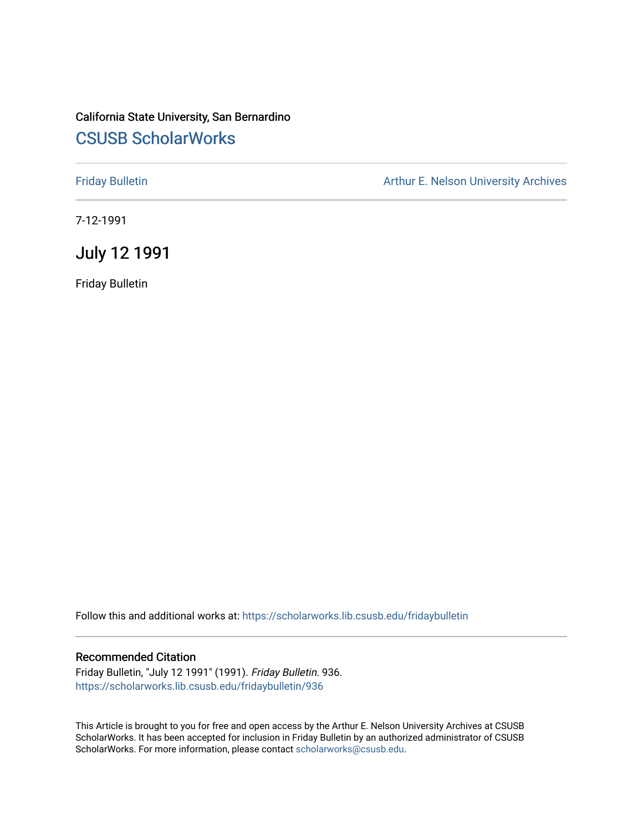## California State University, San Bernardino [CSUSB ScholarWorks](https://scholarworks.lib.csusb.edu/)

[Friday Bulletin](https://scholarworks.lib.csusb.edu/fridaybulletin) **Arthur E. Nelson University Archives** Arthur E. Nelson University Archives

7-12-1991

July 12 1991

Friday Bulletin

Follow this and additional works at: [https://scholarworks.lib.csusb.edu/fridaybulletin](https://scholarworks.lib.csusb.edu/fridaybulletin?utm_source=scholarworks.lib.csusb.edu%2Ffridaybulletin%2F936&utm_medium=PDF&utm_campaign=PDFCoverPages)

#### Recommended Citation

Friday Bulletin, "July 12 1991" (1991). Friday Bulletin. 936. [https://scholarworks.lib.csusb.edu/fridaybulletin/936](https://scholarworks.lib.csusb.edu/fridaybulletin/936?utm_source=scholarworks.lib.csusb.edu%2Ffridaybulletin%2F936&utm_medium=PDF&utm_campaign=PDFCoverPages)

This Article is brought to you for free and open access by the Arthur E. Nelson University Archives at CSUSB ScholarWorks. It has been accepted for inclusion in Friday Bulletin by an authorized administrator of CSUSB ScholarWorks. For more information, please contact [scholarworks@csusb.edu.](mailto:scholarworks@csusb.edu)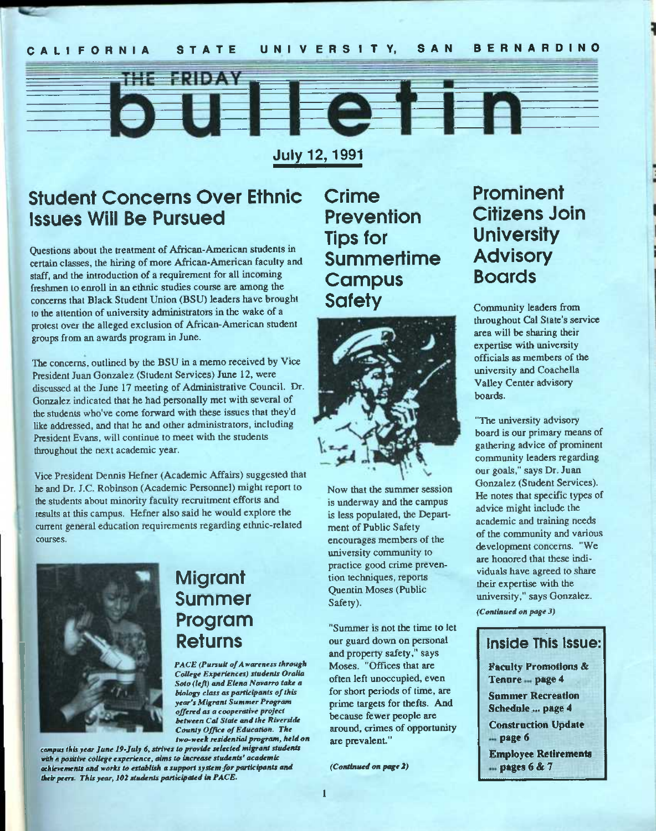### CALIFORNIA STATE UNIVERSITY, SAN BERNARDINO

**July 12,1991** 

## student Concerns Over Ethnic Issues Will Be Pursued

**ERIBY Y** 

Questions about the treatment of African-American students in certain classes, the hiring of more African-American faculty and staff, and the introduction of a requirement for all incoming freshmen to enroll in an ethnic studies course are among the concerns that Black Student Union (BSU) leaders have brought to the attention of university administrators in the wake of a protest over the alleged exclusion of African-American student groups from an awards program in June.

The concerns, outlined by the BSU in a memo received by Vice President Juan Gonzalez (Student Services) June 12, were discussed at the June 17 meeting of Administrative Council. Dr. Gonzalez indicated that he had personally met with several of the students who've come forward with these issues that they'd like addressed, and that he and other administrators, including President Evans, will continue to meet with the students throughout the next academic year.

Vice President Dennis Hefner (Academic Affairs) suggested that he and Dr. J.C. Robinson (Academic Personnel) might report to the students about minority faculty recruitment efforts and results at this campus. Hefner also said he would explore the current general education requirements regarding ethnic-related courses.



## **Migrant** Summer Program Returns

**PACE (Pursuit of A wareness through** *College Experiences) students Oralia Soto (left) and Elena Navarro take a biology class as participants of this year's Migrant Summer Program offered as a cooperative project between Cat State and the Riverside County Office of Education. The two-week residential program, held on* 

*campus this year June 19-July 6, strives to provide selected migrant students with a positive college experience, aims to increase students' academic achievements and works to establish a support system for participants and their peers. This year, 102 students participated in PACE.* 

Crime Prevention Tips for **Summertime Campus Safety** 

**Felin** 



Now that the summer session is underway and the campus is less populated, the Department of Public Safety encourages members of the university community to practice good crime prevention techniques, reports Quentin Moses (Public Safety).

"Summer is not the time to let our guard down on personal and property safety," says Moses. "Offices that are often left unoccupied, even for short periods of time, are prime targets for thefts. And because fewer people are around, crimes of opportunity are prevalent."

*(Continued on page 2)* 

## Prominent Citizens Join **University** Advisory Boards

Community leaders from throughout Cal Slate's service area will be sharing their expertise with university officials as members of the university and Coachella Valley Center advisory boards.

"The university advisory board is our primary means of gathering advice of prominent community leaders regarding our goals," says Dr. Juan Gonzalez (Student Services). He notes that specific types of advice might include the academic and training needs of the community and various development concerns. "We are honored that these individuals have agreed to share their expertise with the university," says Gonzalez.

*(Continued on page 3)* 

## **Inside This issue:**

Faculty Promotions & Tenure<sub>mpage 4</sub> Summer Recreation Schednle ... page 4 Construction Update ... page 6 Employee Retirements  $m$  pages 6 & 7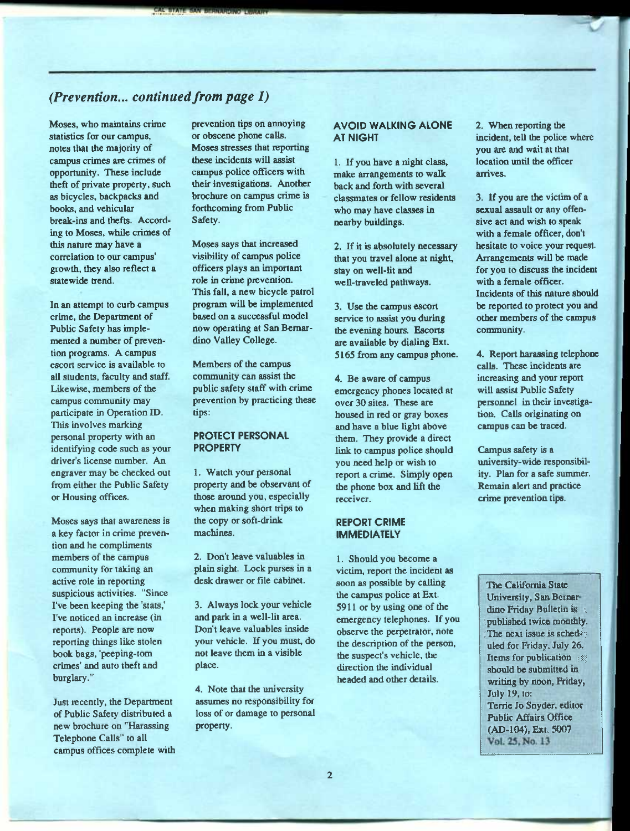### *(Prevention... continued from page 1)*

Moses, who maintains crime statistics for our campus, notes that the majority of campus crimes are crimes of opportunity. These include theft of private property, such as bicycles, backpacks and books, and vehicular break-ins and thefts. According to Moses, while crimes of this nature may have a correlation to our campus' growth, they also reflect a statewide trend.

In an attempt to curb campus crime, the Department of Public Safety has implemented a number of prevention programs. A campus escort service is available to all students, faculty and staff. Likewise, members of the campus community may participate in Operation ID. This involves marking personal property with an identifying code such as your driver's license number. An engraver may be checked out from either the Public Safety or Housing offices.

Moses says that awareness is a key factor in crime prevention and he compliments members of the campus community for taking an active role in reporting suspicious activities. "Since I've been keeping the 'stats,' I've noticed an increase (in reports). People are now reporting things like stolen book bags, 'peeping-tom crimes' and auto theft and burglary."

Just recently, the Department of Public Safety distributed a new brochure on "Harassing Telephone Calls" to all campus offices complete with prevention tips on annoying or obscene phone calls. Moses stresses that reporting these incidents will assist campus police officers with their investigations. Another brochure on campus crime is forthcoming from Public Safety.

Moses says that increased visibility of campus police officers plays an important role in crime prevention. This fall, a new bicycle patrol program will be implemented based on a successful model now operating at San Bernardino Valley College.

Members of the campus community can assist the public safety staff with crime prevention by practicing these tips:

#### **PROTECT PERSONAL PROPERTY**

1. Watch your personal property and be observant of those around you, especially when making short trips to the copy or soft-drink machines.

2. Don't leave valuables in plain sight. Lock purses in a desk drawer or file cabinet.

3. Always lock your vehicle and park in a well-lit area. Don't leave valuables inside your vehicle. Ifyoumust, do not leave them in a visible place.

4. Note that the university assumes no responsibility for loss of or damage to personal property.

#### **AVOID WALKING ALONE AT NIGHT**

1. If you have a night class, make arrangements to walk back and forth with several classmates or fellow residents who may have classes in nearby buildings.

2. If it is absolutely necessary that you travel alone at night, stay on well-lit and well-traveled pathways.

3. Use the campus escort service to assist you during the evening hours. Escorts are available by dialing Ext. 5165 from any campus phone.

4. Be aware of campus emergency phones located at over 30 sites. These are housed in red or gray boxes and have a blue light above them. They provide a direct link to campus police should you need help or wish to report a crime. Simply open the phone box and lift the receiver.

#### **REPORT CRIME IMMEDIATELY**

1. Should you become a victim, report the incident as soon as possible by calling the campus police at Ext. 5911 or by using one of the emergency telephones. If you observe the perpetrator, note the description of the person, the suspect's vehicle, the direction the individual headed and other details.

2. When reporting the incident, tell the police where you are and wait at that location until the officer arrives.

3. If you are the victim of a sexual assault or any offensive act and wish to speak with a female officer, don't hesitate to voice your request. Arrangements will be made for you to discuss the incident with a female officer. Incidents of this natme should be reported to protect you and other members of the campus community.

4. Report harassing telephone calls. These incidents are increasing and your report will assist Public Safety personnel in their investigation. Calls originating on campus can be traced.

Campus safety is a university-wide responsibility. Plan for a safe summer. Remain alert and practice crime prevention tips.

The California State University, San Bernar dino Friday Bulletin is published twice monthly. The next issue is scheduled for Friday, July 26. Items for publication : should be submitted in writing by noon, Friday, July 19, to: Terrie Jo Snyder, editor Public Affairs Office (AD-104), Ext. 5007 Vol. 25, No. 13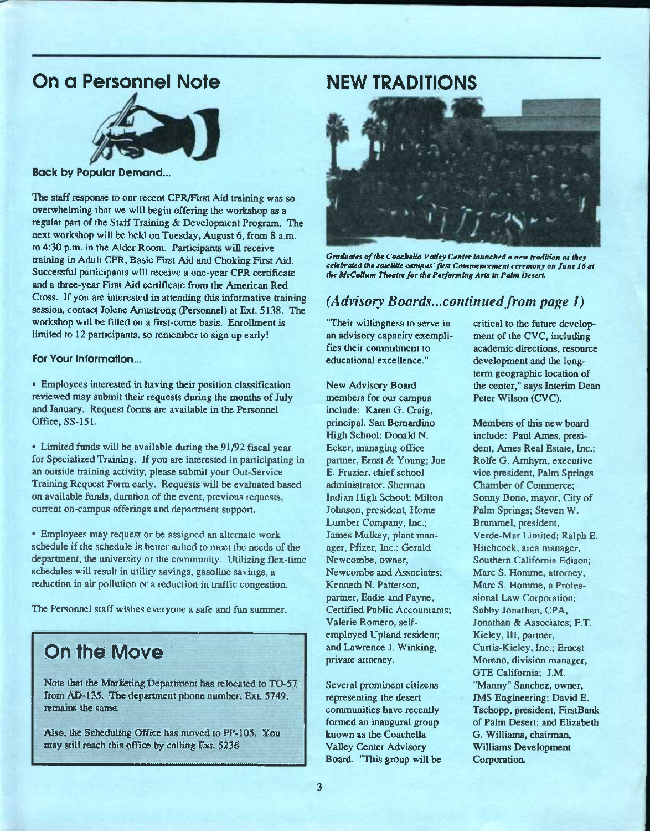## On a Personnel Note NEW TRADITIONS



Back by Popular Demand...

The staff response to our recent CPR/Pirst Aid training was so overwhelming that we will begin offering the workshop as a regular part of the Staff Training & Development Program. The next workshop will be held on Tuesday, August 6, from 8 a.m. to 4:30 p.m. in the Alder Room. Participants will receive training in Adult CPR, Basic First Aid and Choking First Aid. Successful participants will receive a one-year CPR certificate and a three-year First Aid certificate from the American Red Cross. If you are interested in attending this informative training session, contact Jolene Armstrong (Personnel) at Ext. 5138. The workshop will be filled on a first-come basis. Enrollment is limited to 12 participants, so remember to sign up early!

For Your information...

• Employees interested in having their position classification reviewed may submit their requests during the months of July and January. Request forms are available in the Personnel Office. SS-151.

• Limited funds will be available during the 91/92 fiscal year for Specialized Training. If you are interested in participating in an outside training activity, please submit your Out-Service Training Request Form early. Requests will be evaluated based on available funds, duration of the event, previous requests, current on-campus offerings and department support.

• Employees may request or be assigned an alternate work schedule if the schedule is better suited to meet the needs of the department, the university or the community. Utilizing flex-time schedules will result in utility savings, gasoline savings, a reduction in air pollution or a reduction in traffic congestion.

The Personnel staff wishes everyone a safe and fun summer.

## On the Move

Note that the Marketing Department has relocated to TO-57 ; fromAD-135. The department phone number, E**XL** 5749^ remains the same.

Also, the Scheduling Office has moved to PP-105. You may still reach this office by calling Ext. 5236



*Graduates of the Coachetta Vailey Center launched a new tradition as they celebrated the satellite campus'first Commencement ceremony on June 16 at the McCallum Theatre for the Performing Arts in Palm Desert.* 

#### *(Advisory Boards...continued from page I)*

"Their willingness to serve in an advisory capacity exemplifies their commitment to educational excellence."

New Advisory Board members for our campus include: Karen G. Craig, principal, San Bemardino High School; Donald N. Ecker, managing office partner, Ernst & Young; Joe E. Frazier, chief school administrator, Sherman Indian High School; Milton Johnson, president. Home Lumber Company, Inc.; James Mulkey, plant manager, Pfizer, Inc.; Gerald Newcombe, owner, Newcombe and Associates; Kenneth N. Patterson, partner, Eadie and Payne, Certified Public Accountants; Valerie Romero, selfemployed Upland resident; and Lawrence J. Winking, private attorney.

Several prominent citizens representing the desert communities have recently formed an inaugural group known as the Coachella Valley Center Advisory Board. "This group will be critical to the future development of the CVC, including academic directions, resource development and the longterm geographic location of the center," says Interim Dean Peter Wilson (CVC).

Members of this new board include: Paul Ames, president, Ames Real Estate, Inc.; Rolfe G. Amhym, executive vice president. Palm Springs Chamber of Commerce; Sormy Bono, mayor, City of Palm Springs; Steven W. Brummel, president, Verde-Mar Limited; Ralph E. Hitchcock, area manager. Southern California Edison; Marc S. Homme, attorney. Marc S. Homme, a Professional Law Corporation; Sabby Jonathan, CPA, Jonathan & Associates; F.T. Kieley, HI, partner, Curtis-Kieley, Inc.; Ernest Moreno, division manager, GTE Califomia; J.M. "Manny" Sanchez, owner, JMS Engineering; David E. Tschopp, president, FirstBank of Palm Desert; and Elizabeth G. Williams, chairman, Williams Development Corporation.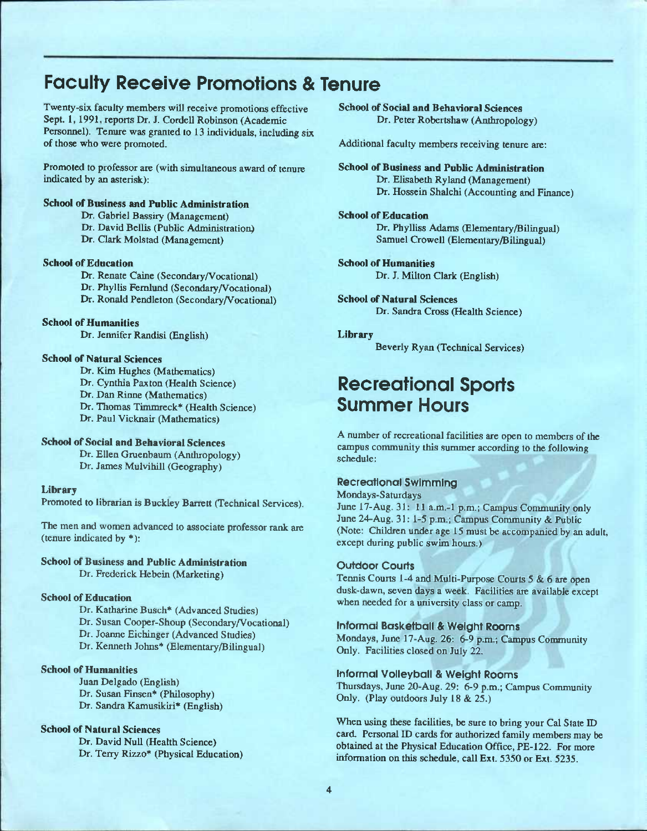## Faculty Receive Promotions & Tenure

Twenty-six faculty members will receive promotions effective Sept. 1,1991, reports Dr. J. Cordell Robinson (Academic Personnel). Tenure was granted to 13 individuals, including six of those who were promoted.

Promoted to professor are (with simultaneous award of tenure indicated by an asterisk):

#### School of Business and Public Administration

Dr. Gabriel Bassiry (Management)

- Dr. David Bellis (Public Administration)
- Dr. Clark Molstad (Management)

#### School of Education

Dr. Renate Caine (Secondary/Vocational) Dr. Phyllis Feralund (Secondary/Vocational) Dr. Ronald Pendleton (Secondary/Vocational)

#### School of Humanities

Dr. Jennifer Randisi (English)

#### School of Natural Sciences

Dr. Kim Hughes (Mathematics) Dr. Cynthia Paxton (Health Science) Dr. Dan Rinne (Mathematics) Dr. Thomas Timmreck\* (Health Science) Dr. Paul Vicknair (Mathematics)

#### School of Social and Behavioral Sciences

Dr. Ellen Gruenbaum (Anthropology) Dr. James Mulvihill (Geography)

#### Library

Promoted to librarian is Buckley Barrett (Technical Services).

The men and women advanced to associate professor rank are (tenure indicated by \*):

#### School of Business and Public Administration

Dr. Frederick Hebein (Marketing)

#### School of Education

Dr. Katharine Busch\* (Advanced Studies) Dr. Susan Cooper-Shoup (Secondary/Vocational) Dr. Joanne Eichinger (Advanced Studies) Dr. Kenneth Johns\* (Elementary/Bilingual)

#### School of Humanities

Juan Delgado (English) Dr. Susan Finsen\* (Philosophy) Dr. Sandra Kamusikiri\* (English)

#### **School of Natural Sciences**

Dr. David Null (Health Science) Dr. Terry Rizzo\* (Physical Education) School of Social and Behavioral Sciences Dr. Peter Robertshaw (Anthropology)

Additional faculty members receiving tenure are:

School of Business and Public Administration Dr. Elisabeth Ryland (Management) Dr. Hossein Shalchi (Accounting and Finance)

#### **School of Education**

Dr. Phylliss Adams (Elementary/Bilingual) Samuel Crowell (Elementary/Bilingual)

#### School of Humanities Dr. J. Milton Clark (English)

School of Natural Sciences Dr. Sandra Cross (Health Science)

#### Library

Beverly Ryan (Technical Services)

## Recreational Sports Summer Hours

A number of recreational facilities are open to members of the campus community this summer according to the following schedule:

#### Recreational Swimming

Mondays-Saturdays June 17-Aug. 31: 11 a.m.-1 p.m.; Campus Community only June 24-Aug. 31: 1-5 p.m.; Campus Community & Public (Note: Children under age 15 must be accompanied by an adult, except during public swim hours.)

#### Outdoor Courts

Tennis Courts 1-4 and Multi-Purpose Courts 5 & 6 are open dusk-dawn, seven days a week. Facilities are available except when needed for a university class or camp.

#### Informal Basketball & Weight Rooms

Mondays, June 17-Aug. 26: 6-9 p.m.; Campus Community Only. Facilities closed on July 22.

#### Informal Volleyball & Weight Rooms

Thursdays, June 20-Aug. 29: 6-9 p.m.; Campus Community Only. (Play outdoors July 18 & 25.)

When using these facilities, be sure to bring your Cal State ID card. Personal ID cards for authorized family members may be obtained at the Physical Education Office, PE-122. For more information on this schedule, call Ext. 5350 or Ext. 5235.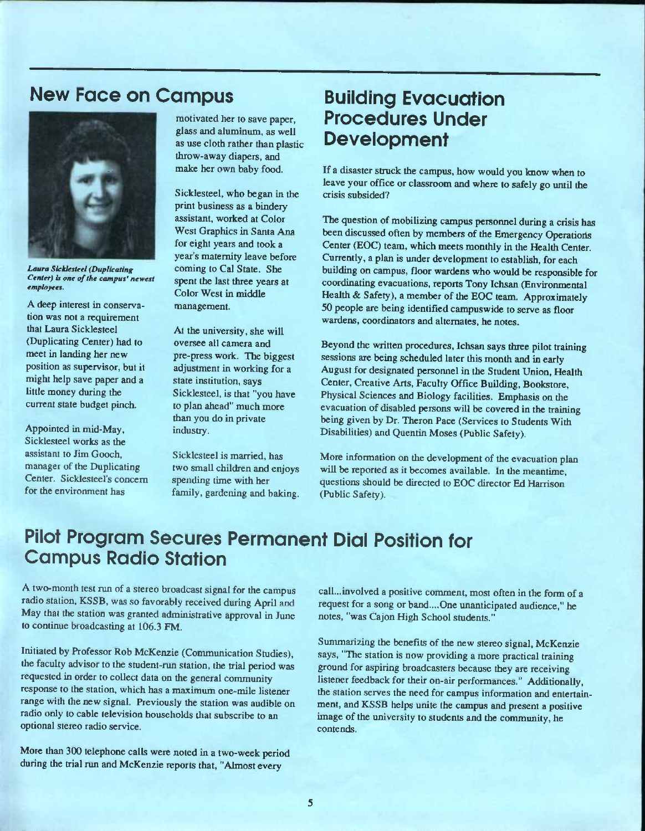## New Face on Campus



*Laura Sicklestee! (Duplicating Center) is one of the campus' newest employees.* 

A deep interest in conservation was not a requirement that Laura Sicklesteel (Duplicating Center) had to meet in landing her new position as supervisor, but it might help save paper and a little money during the current state budget pinch.

Appointed in mid-May, Sicklesteel works as the assistant to Jim Gooch, manager of the Duplicating Center. Sicklesteel's concem for the environment has

motivated her to save paper, glass and aluminum, as well as use cloth rather than plastic throw-away diapers, and make her own baby food.

Sicklesteel, who began in the print business as a bindery assistant, worked at Color West Graphics in Santa Ana for eight years and took a year's maternity leave before coming to Cal State. She spent the last three years at Color West in middle management.

At the university, she will oversee all camera and pre-press work. The biggest adjustment in working for a state institution, says Sicklesteel, is that "you have to plan ahead" much more than you do in private industry.

Sicklesteel is married, has two small children and enjoys spending time with her family, gardening and baking.

## Building Evacuation Procedures Under **Development**

If a disaster struck the campus, how would you know when to leave your office or classroom and where to safely go until the crisis subsided?

The question of mobilizing campus personnel during a crisis has been discussed often by members of the Emergency Operations Center (EOC) team, which meets monthly in the Health Center. Currently, a plan is under development to establish, for each building on campus, floor wardens who would be responsible for coordinating evacuations, reports Tony Ichsan (Environmental Health & Safety), a member of the EOC team. Approximately 50 people are being identified campuswide to serve as floor wardens, coordinators and alternates, he notes.

Beyond the written procedures, Ichsan says three pilot training sessions are being scheduled later this month and in early August for designated personnel in the Student Union, Health Center, Creative Arts, Faculty Office Building, Bookstore, Physical Sciences and Biology facilities. Emphasis on the evacuation of disabled persons will be covered in the training being given by Dr. Theron Pace (Services to Students With Disabilities) and Quentin Moses (Public Safety).

More information on the development of the evacuation plan will be reported as it becomes available. In the meantime, questions should be directed to EOC director Ed Harrison (Public Safety).

## Pilot Program Secures Permanent Dial Position for Campus Radio Station

A two-month test run of a stereo broadcast signal for the campus radio station, KSSB, was so favorably received during April and May that the station was granted administrative approval in June to continue broadcasting at 106.3 FM.

Initiated by Professor Rob McKenzie (Communication Studies), the faculty advisor to the student-run station, the trial period was requested in order to collect data on the general community response to the station, which has a maximum one-mile listener range with the new signal. Previously the station was audible on radio only to cable television households that subscribe to an optional stereo radio service.

More than 300 telephone calls were noted in a two-week period during the trial run and McKenzie reports that, "Almost every

call...involved a positive comment, most often in the form of a request for a song or band....One unanticipated audience," he notes, "was Cajon High School students."

Summarizing the benefits of the new stereo signal, McKenzie says, "The station is now providing a more practical training ground for aspiring broadcasters because they are receiving listener feedback for their on-air performances." Additionally, the station serves the need for campus information and entertainment, and KSSB helps unite the campus and present a positive image of the university to students and the community, he contends.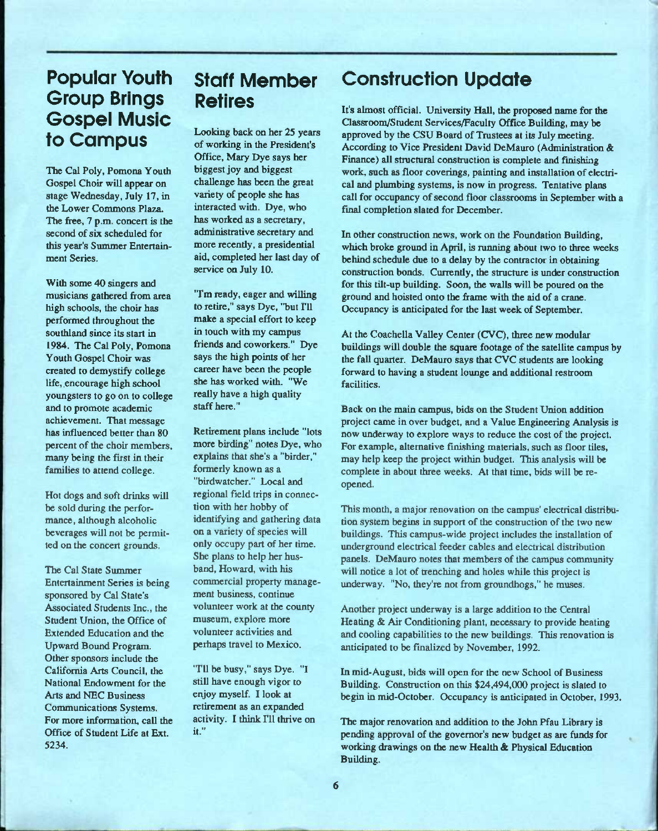## Popular Youth Group Brings Gospel Music to Campus

The Cal Poly, Pomona Youth Gospel Choir will appear on stage Wednesday, July 17, in the Lower Commons Plaza. The free, 7 p.m. concert is the second of six scheduled for this year's Summer Entertainment Series.

With some 40 singers and musicians gathered from area high schools, the choir has performed throughout the southland since its start in 1984. The Cal Poly, Pomona Youth Gospel Choir was created to demystify college life, encourage high school youngsters to go on to college and to promote academic achievement. That message has influenced better than 80 percent of the choir members, many being the first in their families to attend college.

Hot dogs and soft drinks will be sold during the performance, although alcoholic beverages will not be permitted on the concert grounds.

The Cal State Summer Entertainment Series is being sponsored by Cal State's Associated Students Inc., the Student Union, the Office of Extended Education and the Upward Bound Program. Other sponsors include the California Arts Council, the National Endowment for the Arts and NEC Business Communications Systems. For more information, call the Office of Student Life at Ext. 5234.

## Staff Member Retires

Looking back on her 25 years of working in the President's Office, Mary Dye says her biggest joy and biggest challenge has been the great variety of people she has interacted with. Dye, who has worked as a secretary, administrative secretary and more recently, a presidential aid, completed her last day of service on July 10.

"I'm ready, eager and willing to retire," says Dye, "but I'll make a special effort to keep in touch with my campus friends and coworkers." Dye says the high points of her career have been the people she has worked with. "We really have a high quality staff here."

Retirement plans include "lots more birding" notes Dye, who explains that she's a "birder," formerly known as a "birdwatcher." Local and regional field trips in connection with her hobby of identifying and gathering data on a variety of species will only occupy part of her time. She plans to help her husband, Howard, with his commercial property management business, continue volunteer work at the county museum, explore more volunteer activities and perhaps travel to Mexico.

"I'll be busy," says Dye. "I still have enough vigor to enjoy myself. I look at retirement as an expanded activity. I think I'll thrive on it."

## Construction Update

It's almost official. University Hall, the proposed name for the Oassroom/Student Services/Faculty Office Building, may be approved by the CSU Board of Trustees at its July meeting. According to Vice President David DeMauro (Administration & Finance) all structural construction is complete and finishing work, such as floor coverings, painting and installation of electrical and plumbing systems, is now in progress. Tentative plans call for occupancy of second floor classrooms in September with a final completion slated for December.

In other construction news, work on the Foundation Building, which broke ground in April, is running about two to three weeks behind schedule due to a delay by the contractor in obtaining construction bonds. Currently, the structure is under construction for this tilt-up building. Soon, the walls will be poured on the ground and hoisted onto the frame with the aid of a crane. Occupancy is anticipated for the last week of September.

At the Coachella Valley Center (CVC), three new modular buildings will double the square footage of the satellite campus by the fall quarter. DeMauro says that CVC students are looking forward to having a student lounge and additional restroom facilities.

Back on the main campus, bids on the Student Union addition project came in over budget, and a Value Engineering Analysis is now underway to explore ways to reduce the cost of the project. For example, alternative finishing materials, such as floor tiles, may help keep the project within budget. This analysis will be complete in about three weeks. At that time, bids will be reopened.

This month, a major renovation on the campus' electrical distribution system begins in support of the construction of the two new buildings. This campus-wide project includes the installation of underground electrical feeder cables and electrical distribution panels. DeMauro notes that members of the campus community will notice a lot of trenching and holes while this project is underway. "No, they're not from groundhogs," he muses.

Another project underway is a large addition to the Central Heating & Air Conditioning plant, necessary to provide heating and cooling capabilities to the new buildings. This renovation is anticipated to be fmalized by November, 1992.

In mid-August, bids will open for the new School of Business Building. Construction on this \$24,494,000 project is slated to begin in mid-October. Occupancy is anticipated in October, 1993.

The major renovation and addition to the John Pfau Library is pending approval of the governor's new budget as are funds for working drawings on the new Health & Physical Education Building.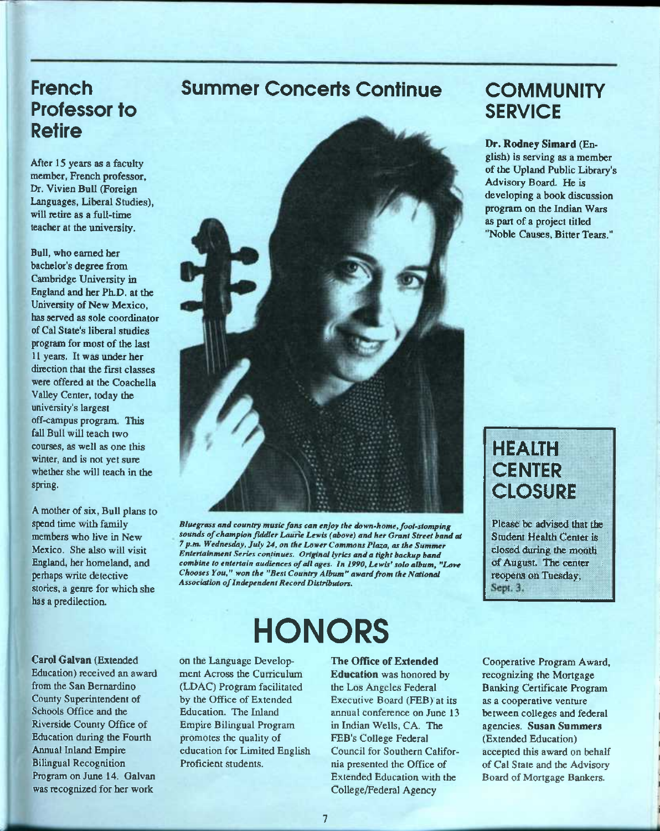## **French** Professor to Retire

After 15 years as a faculty member, French professor, Dr. Vivien Bull (Foreign Languages, Liberal Studies), will retire as a full-time teacher at the university.

Bull, who earned her bachelor's degree from Cambridge University in England and her Ph.D. at the University of New Mexico, has served as sole coordinator of Cal State's liberal studies program for most of the last 11 years. It was under her direction that the first classes were offered at the Coachella Valley Center, today the university's largest off-campus program. This fall Bull will teach two courses, as well as one this winter, and is not yet sure whether she will teach in the spring.

A mother of six. Bull plans to spend time with family members who live in New Mexico. She also will visit England, her homeland, and perhaps write detective stories, a genre for which she has a predilection.

## Summer Concerts Continue



*Blutgrass and country music fans can enjoy the down-home, foot-stomping sounds of champion fiddler Laurie Lewis (above) and her Grant Street band at 7 p.m. Wednesday, July 24, on the Lower Commons Plaza, as the Summer Entertainment Series continues. Original lyrics and a tight backup band combine to entertain audiences of all ages. In 1990, Lewis' solo album, "Love Chooses You," won the "Best Country Album" award from the National Association of Independent Record Distributors.* 

## **HONORS**

Carol Galvan (Extended Education) received an award from the San Bernardino County Superintendent of Schools Office and the Riverside County Office of Education during the Fourth Annual Inland Empire Bilingual Recognition Program on June 14. Oalvan was recognized for her work

on the Language Development Across the Curriculum (LDAC) Program facilitated by the Office of Extended Education. The Inland Empire Bilingual Program promotes the quality of education for Limited English Proficient students.

#### The Office of Extended

Education was honored by the Los Angeles Federal Executive Board (FEB) at its annual conference on June 13 in Indian Wells, CA. The FEB's College Federal Council for Southern California presented the Office of Extended Education with the College/Federal Agency

## **COMMUNITY SERVICE**

Dr. Rodney Simard (English) is serving as a member of the Upland Public Library's Advisory Board. He is developing a book discussion program on the Indian Wars as part of a project titled "Noble Causes, Bitter Tears."

## HEALTH **CENTER CLOSURE**

Please be advised that the Student Health Center is closed during the month of August. The center reopens on Tuesday, Sept. 3.

Cooperative Program Award, recognizing the Mortgage Banking Certificate Program as a cooperative venture between colleges and federal agencies. Susan Summers (Extended Education) accepted this award on behalf of Cal State and the Advisory Board of Mortgage Bankers.